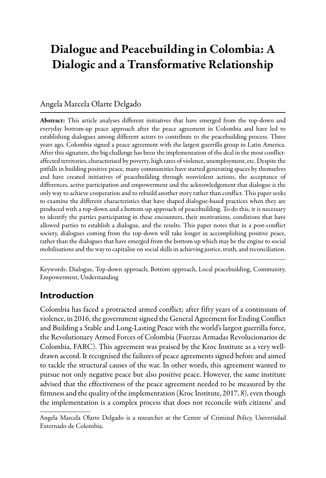# Dialogue and Peacebuilding in Colombia: A Dialogic and a Transformative Relationship

#### Angela Marcela Olarte Delgado

Abstract: This article analyses different initiatives that have emerged from the top-down and everyday bottom-up peace approach after the peace agreement in Colombia and have led to establishing dialogues among different actors to contribute to the peacebuilding process. Three years ago, Colombia signed a peace agreement with the largest guerrilla group in Latin America. After this signature, the big challenge has been the implementation of the deal in the most conflictaffected territories, characterised by poverty, high rates of violence, unemployment, etc. Despite the pitfalls in building positive peace, many communities have started generating spaces by themselves and have created initiatives of peacebuilding through nonviolent actions, the acceptance of differences, active participation and empowerment and the acknowledgement that dialogue is the only way to achieve cooperation and to rebuild another story rather than conflict. This paper seeks to examine the different characteristics that have shaped dialogue-based practices when they are produced with a top-down and a bottom-up approach of peacebuilding. To do this, it is necessary to identify the parties participating in these encounters, their motivations, conditions that have allowed parties to establish a dialogue, and the results. This paper notes that in a post-conflict society, dialogues coming from the top-down will take longer in accomplishing positive peace, rather than the dialogues that have emerged from the bottom up which may be the engine to social mobilisations and the way to capitalise on social skills in achieving justice, truth, and reconciliation.

Keywords: Dialogue, Top-down approach, Bottom approach, Local peacebuilding, Community, Empowerment, Understanding

### **Introduction**

Colombia has faced a protracted armed conflict; after fifty years of a continuum of violence, in 2016, the government signed the General Agreement for Ending Conflict and Building a Stable and Long-Lasting Peace with the world's largest guerrilla force, the Revolutionary Armed Forces of Colombia (Fuerzas Armadas Revolucionarios de Colombia, FARC). This agreement was praised by the Kroc Institute as a very welldrawn accord. It recognised the failures of peace agreements signed before and aimed to tackle the structural causes of the war. In other words, this agreement wanted to pursue not only negative peace but also positive peace. However, the same institute advised that the effectiveness of the peace agreement needed to be measured by the firmness and the quality of the implementation (Kroc Institute, 2017, 8), even though the implementation is a complex process that does not reconcile with citizens' and

Angela Marcela Olarte Delgado is a researcher at the Centre of Criminal Policy, Universidad Externado de Colombia.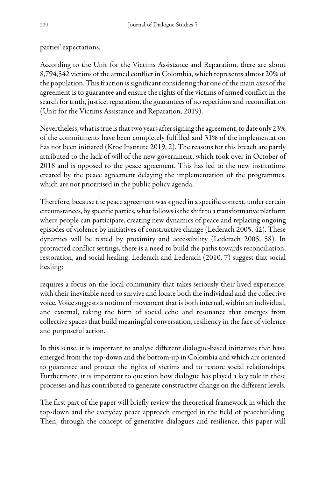parties' expectations.

According to the Unit for the Victims Assistance and Reparation, there are about 8,794,542 victims of the armed conflict in Colombia, which represents almost 20% of the population. This fraction is significant considering that one of the main axes of the agreement is to guarantee and ensure the rights of the victims of armed conflict in the search for truth, justice, reparation, the guarantees of no repetition and reconciliation (Unit for the Victims Assistance and Reparation, 2019).

Nevertheless, what is true is that two years after signing the agreement, to date only 23% of the commitments have been completely fulfilled and 31% of the implementation has not been initiated (Kroc Institute 2019, 2). The reasons for this breach are partly attributed to the lack of will of the new government, which took over in October of 2018 and is opposed to the peace agreement. This has led to the new institutions created by the peace agreement delaying the implementation of the programmes, which are not prioritised in the public policy agenda.

Therefore, because the peace agreement was signed in a specific context, under certain circumstances, by specific parties, what follows is the shift to a transformative platform where people can participate, creating new dynamics of peace and replacing ongoing episodes of violence by initiatives of constructive change (Lederach 2005, 42). These dynamics will be tested by proximity and accessibility (Lederach 2005, 58). In protracted conflict settings, there is a need to build the paths towards reconciliation, restoration, and social healing. Lederach and Lederach (2010, 7) suggest that social healing:

requires a focus on the local community that takes seriously their lived experience, with their inevitable need to survive and locate both the individual and the collective voice. Voice suggests a notion of movement that is both internal, within an individual, and external, taking the form of social echo and resonance that emerges from collective spaces that build meaningful conversation, resiliency in the face of violence and purposeful action.

In this sense, it is important to analyse different dialogue-based initiatives that have emerged from the top-down and the bottom-up in Colombia and which are oriented to guarantee and protect the rights of victims and to restore social relationships. Furthermore, it is important to question how dialogue has played a key role in these processes and has contributed to generate constructive change on the different levels.

The first part of the paper will briefly review the theoretical framework in which the top-down and the everyday peace approach emerged in the field of peacebuilding. Then, through the concept of generative dialogues and resilience, this paper will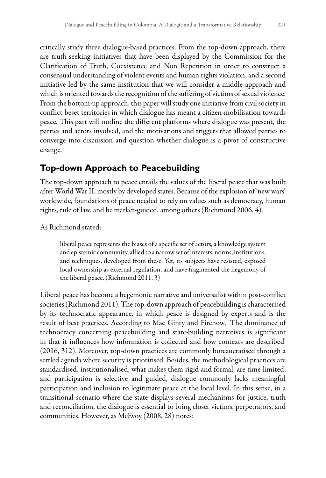critically study three dialogue-based practices. From the top-down approach, there are truth-seeking initiatives that have been displayed by the Commission for the Clarification of Truth, Coexistence and Non Repetition in order to construct a consensual understanding of violent events and human rights violation, and a second initiative led by the same institution that we will consider a middle approach and which is oriented towards the recognition of the suffering of victims of sexual violence. From the bottom-up approach, this paper will study one initiative from civil society in conflict-beset territories in which dialogue has meant a citizen-mobilisation towards peace. This part will outline the different platforms where dialogue was present, the parties and actors involved, and the motivations and triggers that allowed parties to converge into discussion and question whether dialogue is a pivot of constructive change.

#### **Top-down Approach to Peacebuilding**

The top-down approach to peace entails the values of the liberal peace that was built after World War II, mostly by developed states. Because of the explosion of 'new wars' worldwide, foundations of peace needed to rely on values such as democracy, human rights, rule of law, and be market-guided, among others (Richmond 2006, 4).

As Richmond stated:

liberal peace represents the biases of a specific set of actors, a knowledge system and epistemic community, allied to a narrow set of interests, norms, institutions, and techniques, developed from these. Yet, its subjects have resisted, exposed local ownership as external regulation, and have fragmented the hegemony of the liberal peace. (Richmond 2011, 3)

Liberal peace has become a hegemonic narrative and universalist within post-conflict societies (Richmond 2011). The top-down approach of peacebuilding is characterised by its technocratic appearance, in which peace is designed by experts and is the result of best practices. According to Mac Ginty and Firchow, 'The dominance of technocracy concerning peacebuilding and state-building narratives is significant in that it influences how information is collected and how contexts are described' (2016, 312). Moreover, top-down practices are commonly bureaucratised through a settled agenda where security is prioritised. Besides, the methodological practices are standardised, institutionalised, what makes them rigid and formal, are time-limited, and participation is selective and guided, dialogue commonly lacks meaningful participation and inclusion to legitimate peace at the local level. In this sense, in a transitional scenario where the state displays several mechanisms for justice, truth and reconciliation, the dialogue is essential to bring closer victims, perpetrators, and communities. However, as McEvoy (2008, 28) notes: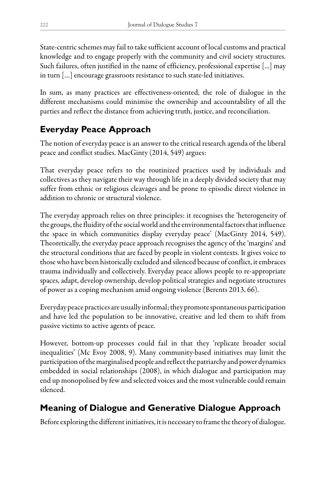State-centric schemes may fail to take sufficient account of local customs and practical knowledge and to engage properly with the community and civil society structures. Such failures, often justified in the name of efficiency, professional expertise [...] may in turn […] encourage grassroots resistance to such state-led initiatives.

In sum, as many practices are effectiveness-oriented, the role of dialogue in the different mechanisms could minimise the ownership and accountability of all the parties and reflect the distance from achieving truth, justice, and reconciliation.

# **Everyday Peace Approach**

The notion of everyday peace is an answer to the critical research agenda of the liberal peace and conflict studies. MacGinty (2014, 549) argues:

That everyday peace refers to the routinized practices used by individuals and collectives as they navigate their way through life in a deeply divided society that may suffer from ethnic or religious cleavages and be prone to episodic direct violence in addition to chronic or structural violence.

The everyday approach relies on three principles: it recognises the 'heterogeneity of the groups, the fluidity of the social world and the environmental factors that influence the space in which communities display everyday peace' (MacGinty 2014, 549). Theoretically, the everyday peace approach recognises the agency of the 'margins' and the structural conditions that are faced by people in violent contexts. It gives voice to those who have been historically excluded and silenced because of conflict, it embraces trauma individually and collectively. Everyday peace allows people to re-appropriate spaces, adapt, develop ownership, develop political strategies and negotiate structures of power as a coping mechanism amid ongoing violence (Berents 2013, 66).

Everyday peace practices are usually informal; they promote spontaneous participation and have led the population to be innovative, creative and led them to shift from passive victims to active agents of peace.

However, bottom-up processes could fail in that they 'replicate broader social inequalities' (Mc Evoy 2008, 9). Many community-based initiatives may limit the participation of the marginalised people and reflect the patriarchy and power dynamics embedded in social relationships (2008), in which dialogue and participation may end up monopolised by few and selected voices and the most vulnerable could remain silenced.

# **Meaning of Dialogue and Generative Dialogue Approach**

Before exploring the different initiatives, it is necessary to frame the theory of dialogue.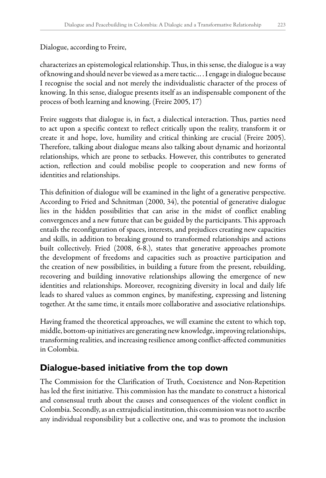Dialogue, according to Freire,

characterizes an epistemological relationship. Thus, in this sense, the dialogue is a way of knowing and should never be viewed as a mere tactic… . I engage in dialogue because I recognise the social and not merely the individualistic character of the process of knowing. In this sense, dialogue presents itself as an indispensable component of the process of both learning and knowing. (Freire 2005, 17)

Freire suggests that dialogue is, in fact, a dialectical interaction. Thus, parties need to act upon a specific context to reflect critically upon the reality, transform it or create it and hope, love, humility and critical thinking are crucial (Freire 2005). Therefore, talking about dialogue means also talking about dynamic and horizontal relationships, which are prone to setbacks. However, this contributes to generated action, reflection and could mobilise people to cooperation and new forms of identities and relationships.

This definition of dialogue will be examined in the light of a generative perspective. According to Fried and Schnitman (2000, 34), the potential of generative dialogue lies in the hidden possibilities that can arise in the midst of conflict enabling convergences and a new future that can be guided by the participants. This approach entails the reconfiguration of spaces, interests, and prejudices creating new capacities and skills, in addition to breaking ground to transformed relationships and actions built collectively. Fried (2008, 6-8.), states that generative approaches promote the development of freedoms and capacities such as proactive participation and the creation of new possibilities, in building a future from the present, rebuilding, recovering and building innovative relationships allowing the emergence of new identities and relationships. Moreover, recognizing diversity in local and daily life leads to shared values as common engines, by manifesting, expressing and listening together. At the same time, it entails more collaborative and associative relationships.

Having framed the theoretical approaches, we will examine the extent to which top, middle, bottom-up initiatives are generating new knowledge, improving relationships, transforming realities, and increasing resilience among conflict-affected communities in Colombia.

## **Dialogue-based initiative from the top down**

The Commission for the Clarification of Truth, Coexistence and Non-Repetition has led the first initiative. This commission has the mandate to construct a historical and consensual truth about the causes and consequences of the violent conflict in Colombia. Secondly, as an extrajudicial institution, this commission was not to ascribe any individual responsibility but a collective one, and was to promote the inclusion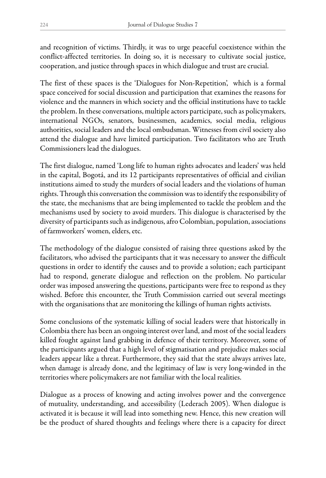and recognition of victims. Thirdly, it was to urge peaceful coexistence within the conflict-affected territories. In doing so, it is necessary to cultivate social justice, cooperation, and justice through spaces in which dialogue and trust are crucial.

The first of these spaces is the 'Dialogues for Non-Repetition', which is a formal space conceived for social discussion and participation that examines the reasons for violence and the manners in which society and the official institutions have to tackle the problem. In these conversations, multiple actors participate, such as policymakers, international NGOs, senators, businessmen, academics, social media, religious authorities, social leaders and the local ombudsman. Witnesses from civil society also attend the dialogue and have limited participation. Two facilitators who are Truth Commissioners lead the dialogues.

The first dialogue, named 'Long life to human rights advocates and leaders' was held in the capital, Bogotá, and its 12 participants representatives of official and civilian institutions aimed to study the murders of social leaders and the violations of human rights. Through this conversation the commission was to identify the responsibility of the state, the mechanisms that are being implemented to tackle the problem and the mechanisms used by society to avoid murders. This dialogue is characterised by the diversity of participants such as indigenous, afro Colombian, population, associations of farmworkers' women, elders, etc.

The methodology of the dialogue consisted of raising three questions asked by the facilitators, who advised the participants that it was necessary to answer the difficult questions in order to identify the causes and to provide a solution; each participant had to respond, generate dialogue and reflection on the problem. No particular order was imposed answering the questions, participants were free to respond as they wished. Before this encounter, the Truth Commission carried out several meetings with the organisations that are monitoring the killings of human rights activists.

Some conclusions of the systematic killing of social leaders were that historically in Colombia there has been an ongoing interest over land, and most of the social leaders killed fought against land grabbing in defence of their territory. Moreover, some of the participants argued that a high level of stigmatisation and prejudice makes social leaders appear like a threat. Furthermore, they said that the state always arrives late, when damage is already done, and the legitimacy of law is very long-winded in the territories where policymakers are not familiar with the local realities.

Dialogue as a process of knowing and acting involves power and the convergence of mutuality, understanding, and accessibility (Lederach 2005). When dialogue is activated it is because it will lead into something new. Hence, this new creation will be the product of shared thoughts and feelings where there is a capacity for direct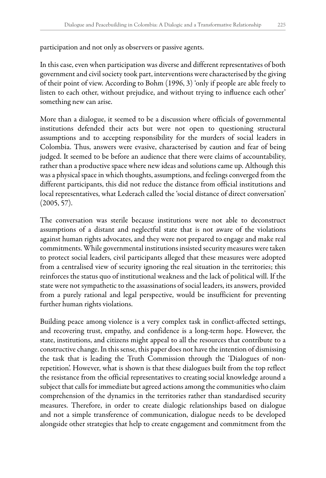participation and not only as observers or passive agents.

In this case, even when participation was diverse and different representatives of both government and civil society took part, interventions were characterised by the giving of their point of view. According to Bohm (1996, 3) 'only if people are able freely to listen to each other, without prejudice, and without trying to influence each other' something new can arise.

More than a dialogue, it seemed to be a discussion where officials of governmental institutions defended their acts but were not open to questioning structural assumptions and to accepting responsibility for the murders of social leaders in Colombia. Thus, answers were evasive, characterised by caution and fear of being judged. It seemed to be before an audience that there were claims of accountability, rather than a productive space where new ideas and solutions came up. Although this was a physical space in which thoughts, assumptions, and feelings converged from the different participants, this did not reduce the distance from official institutions and local representatives, what Lederach called the 'social distance of direct conversation'  $(2005, 57)$ .

The conversation was sterile because institutions were not able to deconstruct assumptions of a distant and neglectful state that is not aware of the violations against human rights advocates, and they were not prepared to engage and make real commitments. While governmental institutions insisted security measures were taken to protect social leaders, civil participants alleged that these measures were adopted from a centralised view of security ignoring the real situation in the territories; this reinforces the status quo of institutional weakness and the lack of political will. If the state were not sympathetic to the assassinations of social leaders, its answers, provided from a purely rational and legal perspective, would be insufficient for preventing further human rights violations.

Building peace among violence is a very complex task in conflict-affected settings, and recovering trust, empathy, and confidence is a long-term hope. However, the state, institutions, and citizens might appeal to all the resources that contribute to a constructive change. In this sense, this paper does not have the intention of dismissing the task that is leading the Truth Commission through the 'Dialogues of nonrepetition'. However, what is shown is that these dialogues built from the top reflect the resistance from the official representatives to creating social knowledge around a subject that calls for immediate but agreed actions among the communities who claim comprehension of the dynamics in the territories rather than standardised security measures. Therefore, in order to create dialogic relationships based on dialogue and not a simple transference of communication, dialogue needs to be developed alongside other strategies that help to create engagement and commitment from the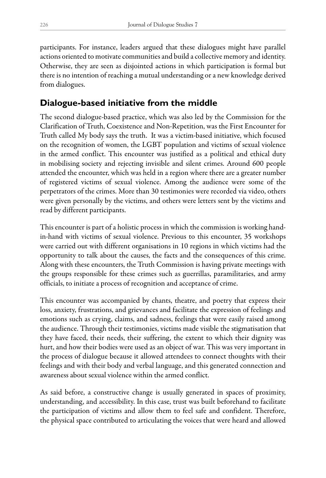participants. For instance, leaders argued that these dialogues might have parallel actions oriented to motivate communities and build a collective memory and identity. Otherwise, they are seen as disjointed actions in which participation is formal but there is no intention of reaching a mutual understanding or a new knowledge derived from dialogues.

## **Dialogue-based initiative from the middle**

The second dialogue-based practice, which was also led by the Commission for the Clarification of Truth, Coexistence and Non-Repetition, was the First Encounter for Truth called My body says the truth. It was a victim-based initiative, which focused on the recognition of women, the LGBT population and victims of sexual violence in the armed conflict. This encounter was justified as a political and ethical duty in mobilising society and rejecting invisible and silent crimes. Around 600 people attended the encounter, which was held in a region where there are a greater number of registered victims of sexual violence. Among the audience were some of the perpetrators of the crimes. More than 30 testimonies were recorded via video, others were given personally by the victims, and others were letters sent by the victims and read by different participants.

This encounter is part of a holistic process in which the commission is working handin-hand with victims of sexual violence. Previous to this encounter, 35 workshops were carried out with different organisations in 10 regions in which victims had the opportunity to talk about the causes, the facts and the consequences of this crime. Along with these encounters, the Truth Commission is having private meetings with the groups responsible for these crimes such as guerrillas, paramilitaries, and army officials, to initiate a process of recognition and acceptance of crime.

This encounter was accompanied by chants, theatre, and poetry that express their loss, anxiety, frustrations, and grievances and facilitate the expression of feelings and emotions such as crying, claims, and sadness, feelings that were easily raised among the audience. Through their testimonies, victims made visible the stigmatisation that they have faced, their needs, their suffering, the extent to which their dignity was hurt, and how their bodies were used as an object of war. This was very important in the process of dialogue because it allowed attendees to connect thoughts with their feelings and with their body and verbal language, and this generated connection and awareness about sexual violence within the armed conflict.

As said before, a constructive change is usually generated in spaces of proximity, understanding, and accessibility. In this case, trust was built beforehand to facilitate the participation of victims and allow them to feel safe and confident. Therefore, the physical space contributed to articulating the voices that were heard and allowed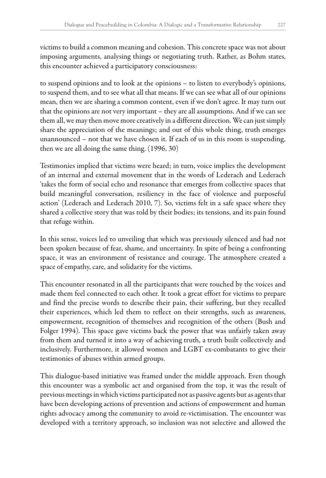victims to build a common meaning and cohesion. This concrete space was not about imposing arguments, analysing things or negotiating truth. Rather, as Bohm states, this encounter achieved a participatory consciousness:

to suspend opinions and to look at the opinions – to listen to everybody's opinions, to suspend them, and to see what all that means. If we can see what all of our opinions mean, then we are sharing a common content, even if we don't agree. It may turn out that the opinions are not very important – they are all assumptions. And if we can see them all, we may then move more creatively in a different direction. We can just simply share the appreciation of the meanings; and out of this whole thing, truth emerges unannounced – not that we have chosen it. If each of us in this room is suspending, then we are all doing the same thing. (1996, 30)

Testimonies implied that victims were heard; in turn, voice implies the development of an internal and external movement that in the words of Lederach and Lederach 'takes the form of social echo and resonance that emerges from collective spaces that build meaningful conversation, resiliency in the face of violence and purposeful action' (Lederach and Lederach 2010, 7). So, victims felt in a safe space where they shared a collective story that was told by their bodies; its tensions, and its pain found that refuge within.

In this sense, voices led to unveiling that which was previously silenced and had not been spoken because of fear, shame, and uncertainty. In spite of being a confronting space, it was an environment of resistance and courage. The atmosphere created a space of empathy, care, and solidarity for the victims.

This encounter resonated in all the participants that were touched by the voices and made them feel connected to each other. It took a great effort for victims to prepare and find the precise words to describe their pain, their suffering, but they recalled their experiences, which led them to reflect on their strengths, such as awareness, empowerment, recognition of themselves and recognition of the others (Bush and Folger 1994). This space gave victims back the power that was unfairly taken away from them and turned it into a way of achieving truth, a truth built collectively and inclusively. Furthermore, it allowed women and LGBT ex-combatants to give their testimonies of abuses within armed groups.

This dialogue-based initiative was framed under the middle approach. Even though this encounter was a symbolic act and organised from the top, it was the result of previous meetings in which victims participated not as passive agents but as agents that have been developing actions of prevention and actions of empowerment and human rights advocacy among the community to avoid re-victimisation. The encounter was developed with a territory approach, so inclusion was not selective and allowed the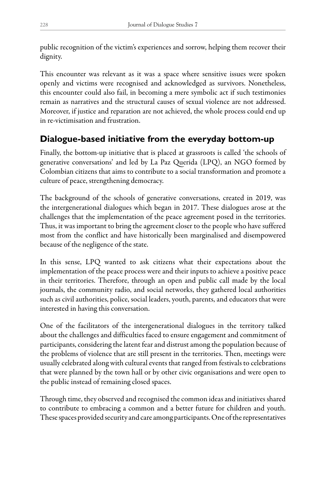public recognition of the victim's experiences and sorrow, helping them recover their dignity.

This encounter was relevant as it was a space where sensitive issues were spoken openly and victims were recognised and acknowledged as survivors. Nonetheless, this encounter could also fail, in becoming a mere symbolic act if such testimonies remain as narratives and the structural causes of sexual violence are not addressed. Moreover, if justice and reparation are not achieved, the whole process could end up in re-victimisation and frustration.

## **Dialogue-based initiative from the everyday bottom-up**

Finally, the bottom-up initiative that is placed at grassroots is called 'the schools of generative conversations' and led by La Paz Querida (LPQ), an NGO formed by Colombian citizens that aims to contribute to a social transformation and promote a culture of peace, strengthening democracy.

The background of the schools of generative conversations, created in 2019, was the intergenerational dialogues which began in 2017. These dialogues arose at the challenges that the implementation of the peace agreement posed in the territories. Thus, it was important to bring the agreement closer to the people who have suffered most from the conflict and have historically been marginalised and disempowered because of the negligence of the state.

In this sense, LPQ wanted to ask citizens what their expectations about the implementation of the peace process were and their inputs to achieve a positive peace in their territories. Therefore, through an open and public call made by the local journals, the community radio, and social networks, they gathered local authorities such as civil authorities, police, social leaders, youth, parents, and educators that were interested in having this conversation.

One of the facilitators of the intergenerational dialogues in the territory talked about the challenges and difficulties faced to ensure engagement and commitment of participants, considering the latent fear and distrust among the population because of the problems of violence that are still present in the territories. Then, meetings were usually celebrated along with cultural events that ranged from festivals to celebrations that were planned by the town hall or by other civic organisations and were open to the public instead of remaining closed spaces.

Through time, they observed and recognised the common ideas and initiatives shared to contribute to embracing a common and a better future for children and youth. These spaces provided security and care among participants. One of the representatives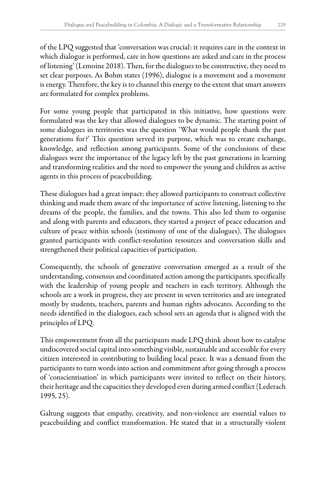of the LPQ suggested that 'conversation was crucial: it requires care in the context in which dialogue is performed, care in how questions are asked and care in the process of listening' (Lemoine 2018). Then, for the dialogues to be constructive, they need to set clear purposes. As Bohm states (1996), dialogue is a movement and a movement is energy. Therefore, the key is to channel this energy to the extent that smart answers are formulated for complex problems.

For some young people that participated in this initiative, how questions were formulated was the key that allowed dialogues to be dynamic. The starting point of some dialogues in territories was the question 'What would people thank the past generations for?' This question served its purpose, which was to create exchange, knowledge, and reflection among participants. Some of the conclusions of these dialogues were the importance of the legacy left by the past generations in learning and transforming realities and the need to empower the young and children as active agents in this process of peacebuilding.

These dialogues had a great impact: they allowed participants to construct collective thinking and made them aware of the importance of active listening, listening to the dreams of the people, the families, and the towns. This also led them to organise and along with parents and educators, they started a project of peace education and culture of peace within schools (testimony of one of the dialogues). The dialogues granted participants with conflict-resolution resources and conversation skills and strengthened their political capacities of participation.

Consequently, the schools of generative conversation emerged as a result of the understanding, consensus and coordinated action among the participants, specifically with the leadership of young people and teachers in each territory. Although the schools are a work in progress, they are present in seven territories and are integrated mostly by students, teachers, parents and human rights advocates. According to the needs identified in the dialogues, each school sets an agenda that is aligned with the principles of LPQ.

This empowerment from all the participants made LPQ think about how to catalyse undiscovered social capital into something visible, sustainable and accessible for every citizen interested in contributing to building local peace. It was a demand from the participants to turn words into action and commitment after going through a process of 'conscientisation' in which participants were invited to reflect on their history, their heritage and the capacities they developed even during armed conflict (Lederach 1995, 25).

Galtung suggests that empathy, creativity, and non-violence are essential values to peacebuilding and conflict transformation. He stated that in a structurally violent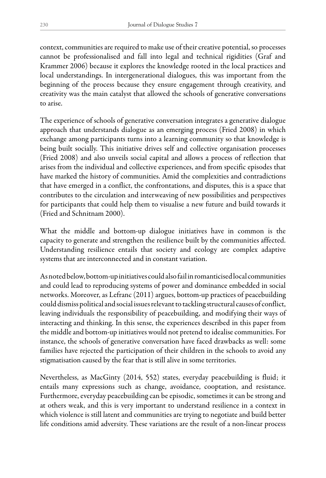context, communities are required to make use of their creative potential, so processes cannot be professionalised and fall into legal and technical rigidities (Graf and Krammer 2006) because it explores the knowledge rooted in the local practices and local understandings. In intergenerational dialogues, this was important from the beginning of the process because they ensure engagement through creativity, and creativity was the main catalyst that allowed the schools of generative conversations to arise.

The experience of schools of generative conversation integrates a generative dialogue approach that understands dialogue as an emerging process (Fried 2008) in which exchange among participants turns into a learning community so that knowledge is being built socially. This initiative drives self and collective organisation processes (Fried 2008) and also unveils social capital and allows a process of reflection that arises from the individual and collective experiences, and from specific episodes that have marked the history of communities. Amid the complexities and contradictions that have emerged in a conflict, the confrontations, and disputes, this is a space that contributes to the circulation and interweaving of new possibilities and perspectives for participants that could help them to visualise a new future and build towards it (Fried and Schnitnam 2000).

What the middle and bottom-up dialogue initiatives have in common is the capacity to generate and strengthen the resilience built by the communities affected. Understanding resilience entails that society and ecology are complex adaptive systems that are interconnected and in constant variation.

As noted below, bottom-up initiatives could also fail in romanticised local communities and could lead to reproducing systems of power and dominance embedded in social networks. Moreover, as Lefranc (2011) argues, bottom-up practices of peacebuilding could dismiss political and social issues relevant to tackling structural causes of conflict, leaving individuals the responsibility of peacebuilding, and modifying their ways of interacting and thinking. In this sense, the experiences described in this paper from the middle and bottom-up initiatives would not pretend to idealise communities. For instance, the schools of generative conversation have faced drawbacks as well: some families have rejected the participation of their children in the schools to avoid any stigmatisation caused by the fear that is still alive in some territories.

Nevertheless, as MacGinty (2014, 552) states, everyday peacebuilding is fluid; it entails many expressions such as change, avoidance, cooptation, and resistance. Furthermore, everyday peacebuilding can be episodic, sometimes it can be strong and at others weak, and this is very important to understand resilience in a context in which violence is still latent and communities are trying to negotiate and build better life conditions amid adversity. These variations are the result of a non-linear process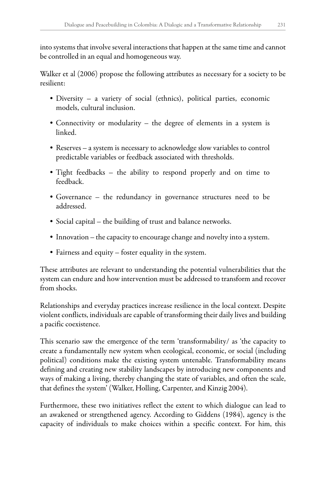into systems that involve several interactions that happen at the same time and cannot be controlled in an equal and homogeneous way.

Walker et al (2006) propose the following attributes as necessary for a society to be resilient:

- Diversity a variety of social (ethnics), political parties, economic models, cultural inclusion.
- Connectivity or modularity the degree of elements in a system is linked.
- Reserves a system is necessary to acknowledge slow variables to control predictable variables or feedback associated with thresholds.
- Tight feedbacks the ability to respond properly and on time to feedback.
- Governance the redundancy in governance structures need to be addressed.
- Social capital the building of trust and balance networks.
- Innovation the capacity to encourage change and novelty into a system.
- Fairness and equity foster equality in the system.

These attributes are relevant to understanding the potential vulnerabilities that the system can endure and how intervention must be addressed to transform and recover from shocks.

Relationships and everyday practices increase resilience in the local context. Despite violent conflicts, individuals are capable of transforming their daily lives and building a pacific coexistence.

This scenario saw the emergence of the term 'transformability/ as 'the capacity to create a fundamentally new system when ecological, economic, or social (including political) conditions make the existing system untenable. Transformability means defining and creating new stability landscapes by introducing new components and ways of making a living, thereby changing the state of variables, and often the scale, that defines the system' (Walker, Holling, Carpenter, and Kinzig 2004).

Furthermore, these two initiatives reflect the extent to which dialogue can lead to an awakened or strengthened agency. According to Giddens (1984), agency is the capacity of individuals to make choices within a specific context. For him, this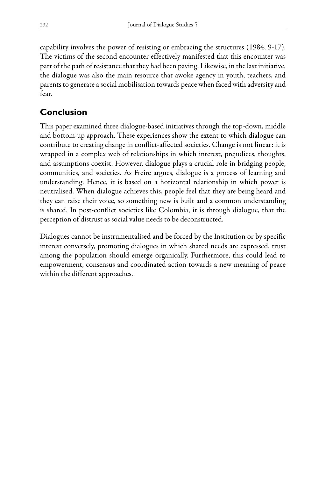capability involves the power of resisting or embracing the structures (1984, 9-17). The victims of the second encounter effectively manifested that this encounter was part of the path of resistance that they had been paving. Likewise, in the last initiative, the dialogue was also the main resource that awoke agency in youth, teachers, and parents to generate a social mobilisation towards peace when faced with adversity and fear.

## **Conclusion**

This paper examined three dialogue-based initiatives through the top-down, middle and bottom-up approach. These experiences show the extent to which dialogue can contribute to creating change in conflict-affected societies. Change is not linear: it is wrapped in a complex web of relationships in which interest, prejudices, thoughts, and assumptions coexist. However, dialogue plays a crucial role in bridging people, communities, and societies. As Freire argues, dialogue is a process of learning and understanding. Hence, it is based on a horizontal relationship in which power is neutralised. When dialogue achieves this, people feel that they are being heard and they can raise their voice, so something new is built and a common understanding is shared. In post-conflict societies like Colombia, it is through dialogue, that the perception of distrust as social value needs to be deconstructed.

Dialogues cannot be instrumentalised and be forced by the Institution or by specific interest conversely, promoting dialogues in which shared needs are expressed, trust among the population should emerge organically. Furthermore, this could lead to empowerment, consensus and coordinated action towards a new meaning of peace within the different approaches.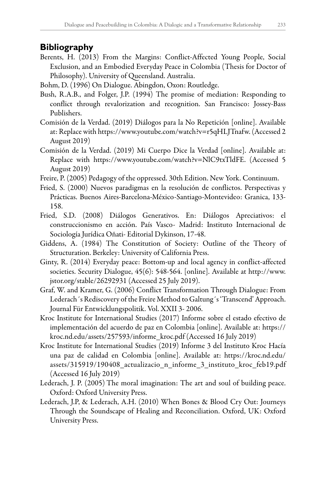#### **Bibliography**

- Berents, H. (2013) From the Margins: Conflict-Affected Young People, Social Exclusion, and an Embodied Everyday Peace in Colombia (Thesis for Doctor of Philosophy). University of Queensland. Australia.
- Bohm, D. (1996) On Dialogue. Abingdon, Oxon: Routledge.
- Bush, R.A.B., and Folger, J.P. (1994) The promise of mediation: Responding to conflict through revalorization and recognition. San Francisco: Jossey-Bass Publishers.
- Comisión de la Verdad. (2019) Diálogos para la No Repetición [online]. Available at: Replace with [https://www.youtube.com/watch?v=r5qHLJTnafw.](https://www.youtube.com/watch?v=r5qHLJTnafw) (Accessed 2 August 2019)
- Comisión de la Verdad. (2019) Mi Cuerpo Dice la Verdad [online]. Available at: Replace with [https://www.youtube.com/watch?v=NlC9txTldFE.](https://www.youtube.com/watch?v=NlC9txTldFE) (Accessed 5 August 2019)
- Freire, P. (2005) Pedagogy of the oppressed. 30th Edition. New York. Continuum.
- Fried, S. (2000) Nuevos paradigmas en la resolución de conflictos. Perspectivas y Prácticas. Buenos Aires-Barcelona-México-Santiago-Montevideo: Granica, 133- 158.
- Fried, S.D. (2008) Diálogos Generativos. En: Diálogos Apreciativos: el construccionismo en acción. País Vasco- Madrid: Instituto Internacional de Sociología Jurídica Oñati- Editorial Dykinson, 17-48.
- Giddens, A. (1984) The Constitution of Society: Outline of the Theory of Structuration. Berkeley: University of California Press.
- Ginty, R. (2014) Everyday peace: Bottom-up and local agency in conflict-affected societies. Security Dialogue, 45(6): 548-564. [online]. Available at [http://www.](http://www.jstor.org/stable/26292931) [jstor.org/stable/26292931](http://www.jstor.org/stable/26292931) (Accessed 25 July 2019).
- Graf, W. and Kramer, G. (2006) Conflict Transformation Through Dialogue: From Lederach´s Rediscovery of the Freire Method to Galtung´s 'Transcend' Approach. Journal Für Entwicklungspolitik. Vol. XXII 3- 2006.
- Kroc Institute for International Studies (2017) Informe sobre el estado efectivo de implementación del acuerdo de paz en Colombia [online]. Available at: [https://](https://kroc.nd.edu/assets/257593/informe_kroc.pdf) [kroc.nd.edu/assets/257593/informe\\_kroc.pdf](https://kroc.nd.edu/assets/257593/informe_kroc.pdf) (Accessed 16 July 2019)
- Kroc Institute for International Studies (2019) Informe 3 del Instituto Kroc Hacía una paz de calidad en Colombia [online]. Available at: [https://kroc.nd.edu/](https://kroc.nd.edu/assets/315919/190408_actualizacio_n_informe_3_instituto_kroc_feb19.pdf) [assets/315919/190408\\_actualizacio\\_n\\_informe\\_3\\_instituto\\_kroc\\_feb19.pdf](https://kroc.nd.edu/assets/315919/190408_actualizacio_n_informe_3_instituto_kroc_feb19.pdf) (Accessed 16 July 2019)
- Lederach, J. P. (2005) The moral imagination: The art and soul of building peace. Oxford: Oxford University Press.
- Lederach, J.P, & Lederach, A.H. (2010) When Bones & Blood Cry Out: Journeys Through the Soundscape of Healing and Reconciliation. Oxford, UK: Oxford University Press.